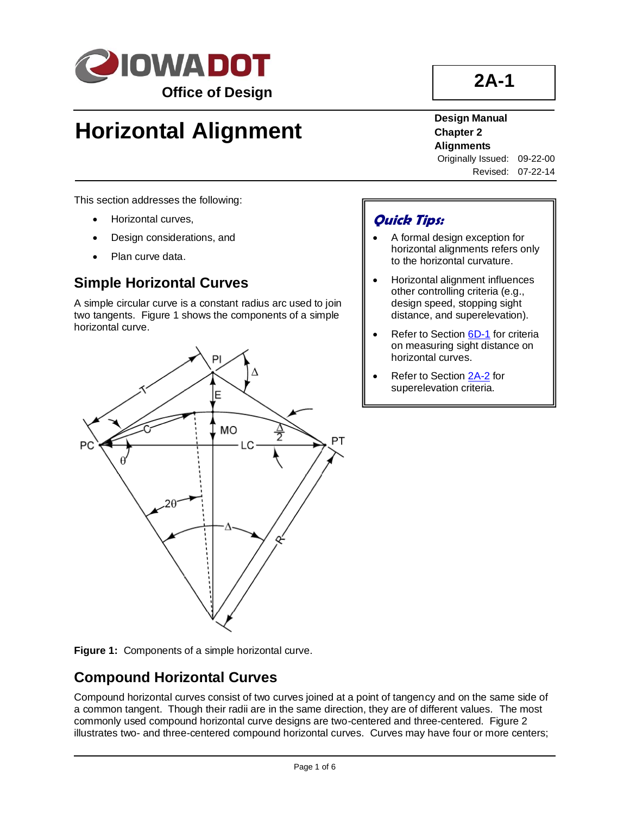

# **Horizontal Alignment**

**2A-1**

### **Design Manual Chapter 2 Alignments**

Originally Issued: 09-22-00 Revised: 07-22-14

This section addresses the following:

- Horizontal curves,
- Design considerations, and
- Plan curve data.

## **Simple Horizontal Curves**

A simple circular curve is a constant radius arc used to join two tangents. Figure 1 shows the components of a simple horizontal curve.



## **Quick Tips:**

- A formal design exception for horizontal alignments refers only to the horizontal curvature.
- Horizontal alignment influences other controlling criteria (e.g., design speed, stopping sight distance, and superelevation).
- Refer to Sectio[n 6D-1](06d-01.pdf) for criteria on measuring sight distance on horizontal curves.
- Refer to Sectio[n 2A-2](02a-02.pdf) for superelevation criteria.



## **Compound Horizontal Curves**

Compound horizontal curves consist of two curves joined at a point of tangency and on the same side of a common tangent. Though their radii are in the same direction, they are of different values. The most commonly used compound horizontal curve designs are two-centered and three-centered. Figure 2 illustrates two- and three-centered compound horizontal curves. Curves may have four or more centers;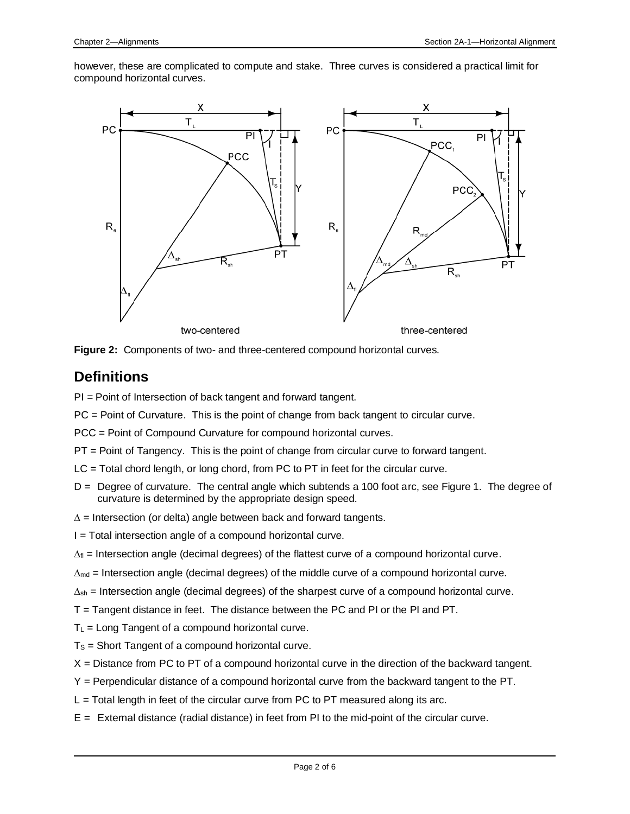however, these are complicated to compute and stake. Three curves is considered a practical limit for compound horizontal curves.





## **Definitions**

PI = Point of Intersection of back tangent and forward tangent.

PC = Point of Curvature. This is the point of change from back tangent to circular curve.

PCC = Point of Compound Curvature for compound horizontal curves.

PT = Point of Tangency. This is the point of change from circular curve to forward tangent.

- LC = Total chord length, or long chord, from PC to PT in feet for the circular curve.
- D = Degree of curvature. The central angle which subtends a 100 foot arc, see Figure 1. The degree of curvature is determined by the appropriate design speed.
- $\Delta$  = Intersection (or delta) angle between back and forward tangents.
- I = Total intersection angle of a compound horizontal curve.
- $\Delta_{\text{fl}}$  = Intersection angle (decimal degrees) of the flattest curve of a compound horizontal curve.
- $\Delta_{\text{md}}$  = Intersection angle (decimal degrees) of the middle curve of a compound horizontal curve.

 $\Delta_{\rm sh}$  = Intersection angle (decimal degrees) of the sharpest curve of a compound horizontal curve.

- T = Tangent distance in feet. The distance between the PC and PI or the PI and PT.
- $T<sub>L</sub>$  = Long Tangent of a compound horizontal curve.
- $T<sub>S</sub>$  = Short Tangent of a compound horizontal curve.
- $X =$  Distance from PC to PT of a compound horizontal curve in the direction of the backward tangent.
- Y = Perpendicular distance of a compound horizontal curve from the backward tangent to the PT.
- $L =$  Total length in feet of the circular curve from PC to PT measured along its arc.
- E = External distance (radial distance) in feet from PI to the mid-point of the circular curve.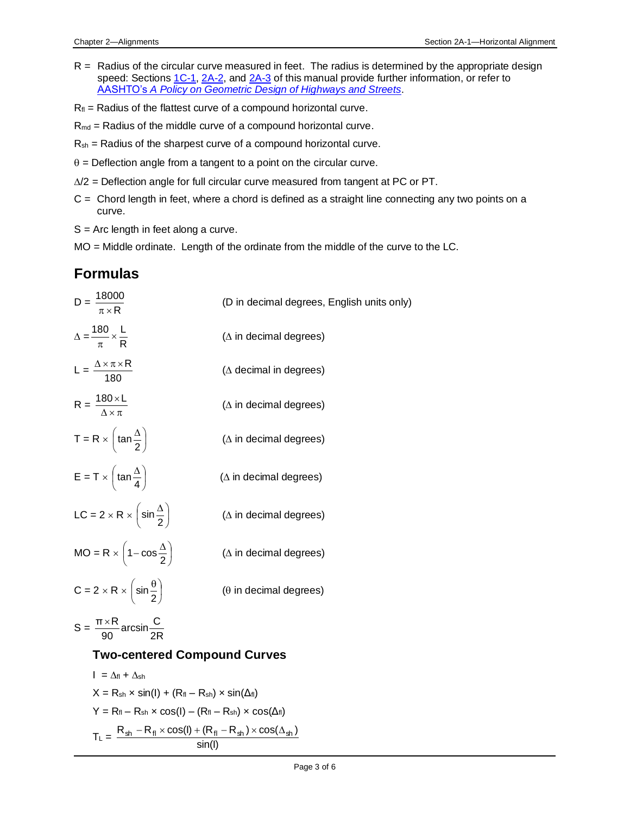- R = Radius of the circular curve measured in feet. The radius is determined by the appropriate design speed: Section[s 1C-1,](01C-01.pdf) [2A-2,](02a-02.pdf) and [2A-3](02A-03.pdf) of this manual provide further information, or refer to AASHTO's *[A Policy on Geometric Design of Highways and Streets](01b-01/APolicyonGeometricDesign.pdf)*.
- $R_{\text{fl}}$  = Radius of the flattest curve of a compound horizontal curve.
- $R_{\text{md}}$  = Radius of the middle curve of a compound horizontal curve.
- $R_{sh}$  = Radius of the sharpest curve of a compound horizontal curve.
- $\theta$  = Deflection angle from a tangent to a point on the circular curve.
- $\Delta/2$  = Deflection angle for full circular curve measured from tangent at PC or PT.
- $C =$  Chord length in feet, where a chord is defined as a straight line connecting any two points on a curve.
- $S = Arc$  length in feet along a curve.
- MO = Middle ordinate. Length of the ordinate from the middle of the curve to the LC.

## **Formulas**

D = R 18000 (D in decimal degrees, English units only) = R 180 L ( in decimal degrees) L = 180 R ( decimal in degrees) R = 180 L ( in decimal degrees) T = R 2 tan ( in decimal degrees) E = T 4 tan ( in decimal degrees) LC = 2 R 2 sin ( in decimal degrees) MO = R − 2 1 cos ( in decimal degrees) C = 2 R 2 sin ( in decimal degrees)

$$
S = \frac{\pi \times R}{90} \arcsin \frac{C}{2R}
$$

#### **Two-centered Compound Curves**

$$
I = \Delta f_1 + \Delta s_1
$$
  
\n
$$
X = R_{s_1} \times \sin(I) + (R_{f_1} - R_{s_1}) \times \sin(\Delta f_1)
$$
  
\n
$$
Y = R_{f_1} - R_{s_1} \times \cos(I) - (R_{f_1} - R_{s_1}) \times \cos(\Delta f_1)
$$
  
\n
$$
T_L = \frac{R_{s_1} - R_{f_1} \times \cos(I) + (R_{f_1} - R_{s_1}) \times \cos(\Delta s_1)}{\sin(I)}
$$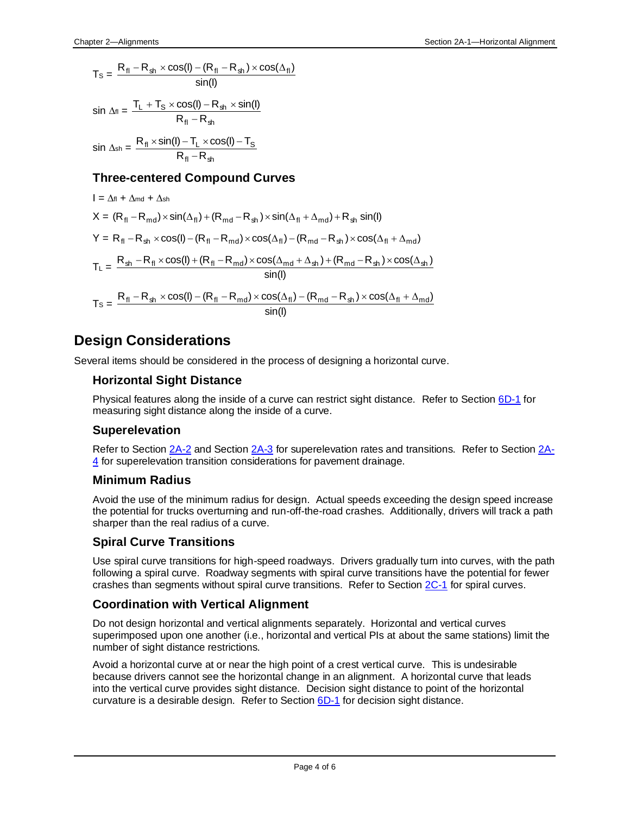$$
T_{\text{S}} = \frac{R_{\text{fl}} - R_{\text{sh}} \times \cos(\mathbf{l}) - (R_{\text{fl}} - R_{\text{sh}}) \times \cos(\Delta_{\text{fl}})}{\sin(\mathbf{l})}
$$
  

$$
\sin \Delta_{\text{fl}} = \frac{T_{\text{L}} + T_{\text{S}} \times \cos(\mathbf{l}) - R_{\text{sh}} \times \sin(\mathbf{l})}{T_{\text{S}} + T_{\text{S}} \times \cos(\mathbf{l}) - R_{\text{sh}} \times \sin(\mathbf{l})}
$$

$$
R_{\text{fl}} - R_{\text{sh}}
$$
  

$$
\sin \Delta_{\text{sh}} = \frac{R_{\text{fl}} \times \sin(I) - T_{\text{L}} \times \cos(I) - T_{\text{S}}}{R_{\text{fl}} - R_{\text{sh}}}
$$

#### **Three-centered Compound Curves**

$$
I = \Delta f_1 + \Delta m_d + \Delta s_1
$$
  
\n
$$
X = (R_{fl} - R_{md}) \times \sin(\Delta_{fl}) + (R_{md} - R_{sh}) \times \sin(\Delta_{fl} + \Delta_{md}) + R_{sh} \sin(l)
$$
  
\n
$$
Y = R_{fl} - R_{sh} \times \cos(l) - (R_{fl} - R_{md}) \times \cos(\Delta_{fl}) - (R_{md} - R_{sh}) \times \cos(\Delta_{fl} + \Delta_{md})
$$
  
\n
$$
T_L = \frac{R_{sh} - R_{fl} \times \cos(l) + (R_{fl} - R_{md}) \times \cos(\Delta_{md} + \Delta_{sh}) + (R_{md} - R_{sh}) \times \cos(\Delta_{sh})}{\sin(l)}
$$
  
\n
$$
T_S = \frac{R_{fl} - R_{sh} \times \cos(l) - (R_{fl} - R_{md}) \times \cos(\Delta_{fl}) - (R_{md} - R_{sh}) \times \cos(\Delta_{fl} + \Delta_{md})}{\sin(l)}
$$

## **Design Considerations**

Several items should be considered in the process of designing a horizontal curve.

#### **Horizontal Sight Distance**

Physical features along the inside of a curve can restrict sight distance. Refer to Section [6D-1](06d-01.pdf) for measuring sight distance along the inside of a curve.

#### **Superelevation**

Refer to Section [2A-2](02a-02.pdf) and Section [2A-3](02A-03.pdf) for superelevation rates and transitions. Refer to Section [2A-](02A-04.pdf)[4](02A-04.pdf) for superelevation transition considerations for pavement drainage.

#### **Minimum Radius**

Avoid the use of the minimum radius for design. Actual speeds exceeding the design speed increase the potential for trucks overturning and run-off-the-road crashes. Additionally, drivers will track a path sharper than the real radius of a curve.

#### **Spiral Curve Transitions**

Use spiral curve transitions for high-speed roadways. Drivers gradually turn into curves, with the path following a spiral curve. Roadway segments with spiral curve transitions have the potential for fewer crashes than segments without spiral curve transitions. Refer to Section [2C-1](02c-01.pdf) for spiral curves.

#### **Coordination with Vertical Alignment**

Do not design horizontal and vertical alignments separately. Horizontal and vertical curves superimposed upon one another (i.e., horizontal and vertical PIs at about the same stations) limit the number of sight distance restrictions.

Avoid a horizontal curve at or near the high point of a crest vertical curve. This is undesirable because drivers cannot see the horizontal change in an alignment. A horizontal curve that leads into the vertical curve provides sight distance. Decision sight distance to point of the horizontal curvature is a desirable design. Refer to Section  $6D-1$  for decision sight distance.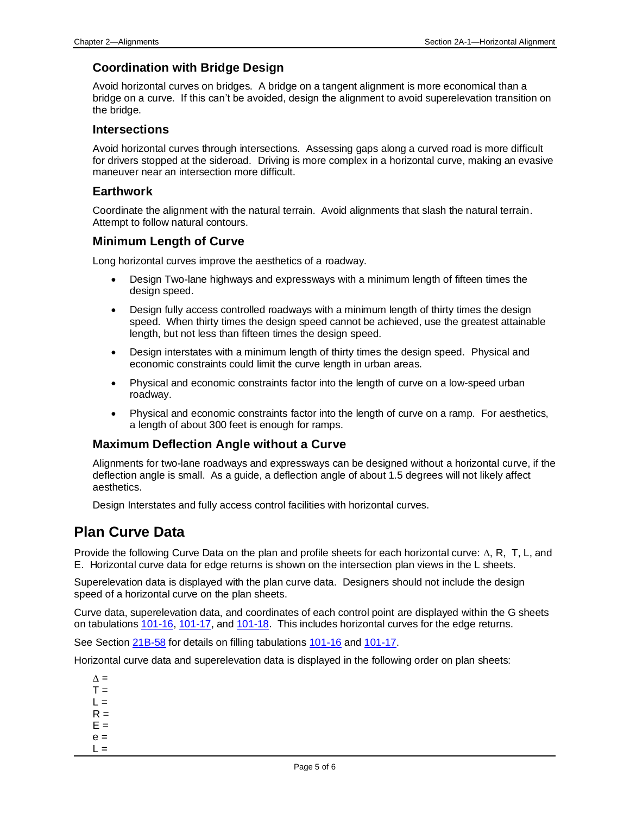#### **Coordination with Bridge Design**

Avoid horizontal curves on bridges. A bridge on a tangent alignment is more economical than a bridge on a curve. If this can't be avoided, design the alignment to avoid superelevation transition on the bridge.

#### **Intersections**

Avoid horizontal curves through intersections. Assessing gaps along a curved road is more difficult for drivers stopped at the sideroad. Driving is more complex in a horizontal curve, making an evasive maneuver near an intersection more difficult.

#### **Earthwork**

Coordinate the alignment with the natural terrain. Avoid alignments that slash the natural terrain. Attempt to follow natural contours.

#### **Minimum Length of Curve**

Long horizontal curves improve the aesthetics of a roadway.

- Design Two-lane highways and expressways with a minimum length of fifteen times the design speed.
- Design fully access controlled roadways with a minimum length of thirty times the design speed. When thirty times the design speed cannot be achieved, use the greatest attainable length, but not less than fifteen times the design speed.
- Design interstates with a minimum length of thirty times the design speed. Physical and economic constraints could limit the curve length in urban areas.
- Physical and economic constraints factor into the length of curve on a low-speed urban roadway.
- Physical and economic constraints factor into the length of curve on a ramp. For aesthetics, a length of about 300 feet is enough for ramps.

#### **Maximum Deflection Angle without a Curve**

Alignments for two-lane roadways and expressways can be designed without a horizontal curve, if the deflection angle is small. As a guide, a deflection angle of about 1.5 degrees will not likely affect aesthetics.

Design Interstates and fully access control facilities with horizontal curves.

## **Plan Curve Data**

Provide the following Curve Data on the plan and profile sheets for each horizontal curve:  $\Delta$ , R, T, L, and E. Horizontal curve data for edge returns is shown on the intersection plan views in the L sheets.

Superelevation data is displayed with the plan curve data. Designers should not include the design speed of a horizontal curve on the plan sheets.

Curve data, superelevation data, and coordinates of each control point are displayed within the G sheets on tabulations [101-16,](../tnt/PDFsandWebFiles/IndividualPDFs/0101-16.PDF) [101-17,](../tnt/PDFsandWebFiles/IndividualPDFs/0101-17.PDF) and [101-18.](../tnt/PDFsandWebFiles/IndividualPDFs/0101-18.pdf) This includes horizontal curves for the edge returns.

See Section [21B-58](21B-58.pdf) for details on filling tabulations [101-16](../tnt/PDFsandWebFiles/IndividualPDFs/0101-16.PDF) and [101-17.](../tnt/PDFsandWebFiles/IndividualPDFs/0101-17.PDF)

Horizontal curve data and superelevation data is displayed in the following order on plan sheets:

- $\Delta$  =  $T =$
- $L =$
- $R =$
- $E =$
- $e =$
- $L =$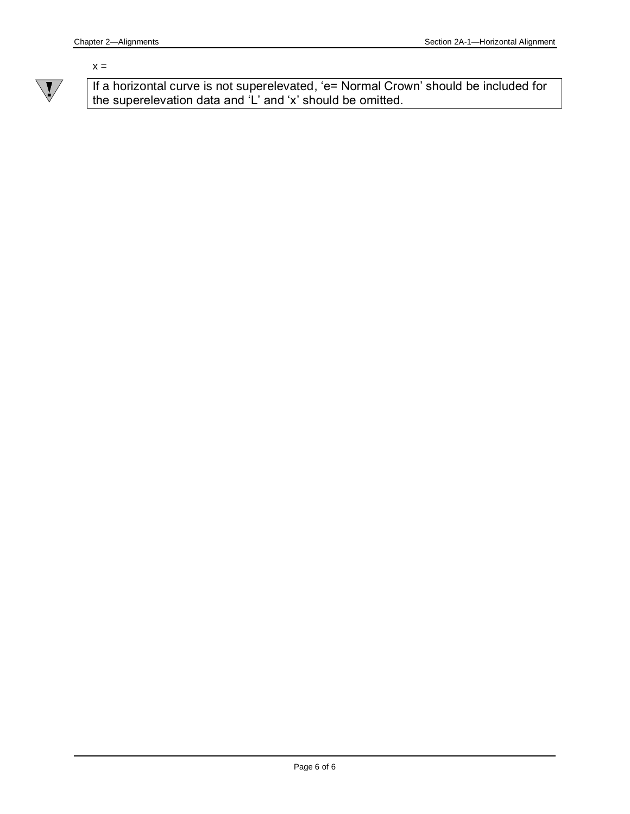#### $x =$



If a horizontal curve is not superelevated, 'e= Normal Crown' should be included for the superelevation data and 'L' and 'x' should be omitted.